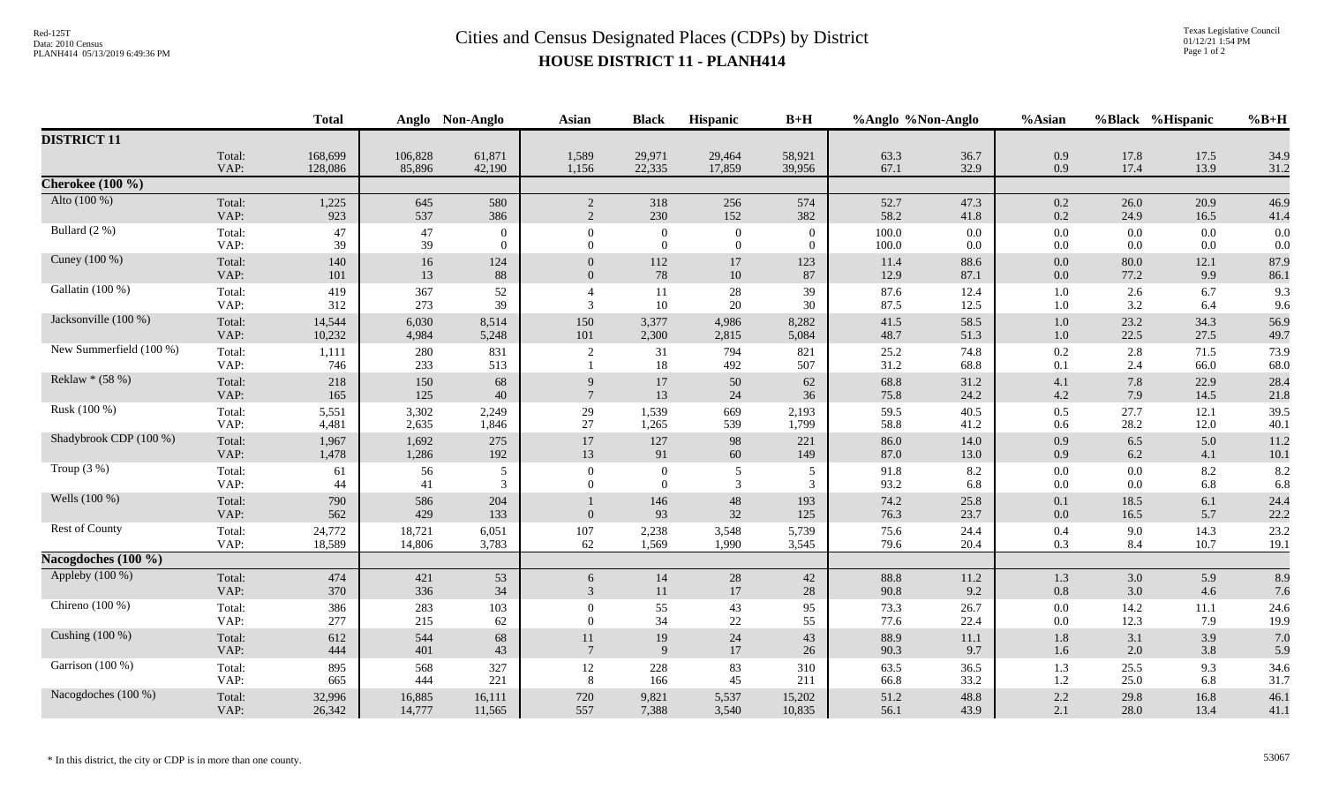## Red-125T<br>Data: 2010 Census<br>PLANH414 05/13/2019 6:49:36 PM<br>**Cities and Census Designated Places (CDPs)** by District **HOUSE DISTRICT 11 - PLANH414**

|                         |                | <b>Total</b> |            | Anglo Non-Anglo | <b>Asian</b>    | <b>Black</b>   | Hispanic          | $B+H$      | %Anglo %Non-Anglo |              | %Asian         |              | %Black %Hispanic | $%B+H$       |
|-------------------------|----------------|--------------|------------|-----------------|-----------------|----------------|-------------------|------------|-------------------|--------------|----------------|--------------|------------------|--------------|
| <b>DISTRICT 11</b>      |                |              |            |                 |                 |                |                   |            |                   |              |                |              |                  |              |
|                         | Total:         | 168,699      | 106,828    | 61,871          | 1,589           | 29,971         | 29,464            | 58,921     | 63.3              | 36.7         | 0.9            | 17.8         | 17.5             | 34.9         |
|                         | VAP:           | 128,086      | 85,896     | 42,190          | 1,156           | 22,335         | 17,859            | 39,956     | 67.1              | 32.9         | 0.9            | 17.4         | 13.9             | 31.2         |
| Cherokee $(100 \%)$     |                |              |            |                 |                 |                |                   |            |                   |              |                |              |                  |              |
| Alto (100 %)            | Total:         | 1,225        | 645        | 580             | $\overline{2}$  | 318            | 256               | 574        | 52.7              | 47.3         | $0.2\,$        | 26.0         | 20.9             | 46.9         |
|                         | VAP:           | 923          | 537        | 386             | 2               | 230            | 152               | 382        | 58.2              | 41.8         | 0.2            | 24.9         | 16.5             | 41.4         |
| Bullard (2 %)           | Total:         | 47           | 47         | $\overline{0}$  | $\Omega$        | $\mathbf{0}$   | $\overline{0}$    | $\Omega$   | 100.0             | 0.0          | $0.0\,$        | 0.0          | 0.0              | 0.0          |
|                         | VAP:           | 39           | 39         | $\theta$        | $\Omega$        | $\overline{0}$ | $\overline{0}$    | $\Omega$   | 100.0             | 0.0          | 0.0            | 0.0          | 0.0              | 0.0          |
| Cuney (100 %)           | Total:         | 140          | 16         | 124             | $\overline{0}$  | 112            | 17                | 123        | 11.4              | 88.6         | $0.0\,$        | 80.0         | 12.1             | 87.9         |
|                         | VAP:           | 101          | 13         | 88              | $\Omega$        | 78             | 10                | 87         | 12.9              | 87.1         | $0.0\,$        | 77.2         | 9.9              | 86.1         |
| Gallatin (100 %)        | Total:<br>VAP: | 419<br>312   | 367<br>273 | 52<br>39        | 3               | 11<br>10       | 28<br>20          | 39<br>30   | 87.6<br>87.5      | 12.4<br>12.5 | 1.0<br>1.0     | 2.6<br>3.2   | 6.7<br>6.4       | 9.3<br>9.6   |
| Jacksonville (100 %)    | Total:         | 14,544       | 6,030      | 8,514           | 150             | 3,377          | 4,986             | 8,282      | 41.5              | 58.5         | 1.0            | 23.2         | 34.3             | 56.9         |
|                         | VAP:           | 10,232       | 4,984      | 5,248           | 101             | 2,300          | 2,815             | 5,084      | 48.7              | 51.3         | 1.0            | 22.5         | 27.5             | 49.7         |
| New Summerfield (100 %) | Total:<br>VAP: | 1,111<br>746 | 280<br>233 | 831<br>513      | $\overline{2}$  | 31<br>18       | 794<br>492        | 821<br>507 | 25.2<br>31.2      | 74.8<br>68.8 | 0.2<br>0.1     | 2.8<br>2.4   | 71.5<br>66.0     | 73.9<br>68.0 |
| Reklaw * (58 %)         | Total:         | 218          | 150        | 68              | 9               | 17             | 50                | 62         | 68.8              | 31.2         | 4.1            | 7.8          | 22.9             | 28.4         |
|                         | VAP:           | 165          | 125        | 40              | $7\phantom{.0}$ | 13             | 24                | 36         | 75.8              | 24.2         | $4.2\,$        | 7.9          | 14.5             | 21.8         |
| Rusk (100 %)            | Total:         | 5,551        | 3,302      | 2,249           | 29              | 1,539          | 669               | 2,193      | 59.5              | 40.5         | $0.5\,$        | 27.7         | 12.1             | 39.5         |
|                         | VAP:           | 4,481        | 2,635      | 1,846           | 27              | 1,265          | 539               | 1,799      | 58.8              | 41.2         | 0.6            | 28.2         | 12.0             | 40.1         |
| Shadybrook CDP (100 %)  | Total:         | 1,967        | 1,692      | 275             | 17              | 127            | 98                | 221        | 86.0              | 14.0         | 0.9            | 6.5          | 5.0              | 11.2         |
|                         | VAP:           | 1,478        | 1,286      | 192             | 13              | 91             | 60                | 149        | 87.0              | 13.0         | 0.9            | 6.2          | 4.1              | 10.1         |
| Troup $(3\%)$           | Total:         | 61           | 56         | 5               | $\Omega$        | $\mathbf{0}$   | 5                 | 5          | 91.8              | 8.2          | $0.0\,$        | 0.0          | 8.2              | 8.2          |
|                         | VAP:           | 44           | 41         | 3               | $\Omega$        | $\theta$       | 3                 | 3          | 93.2              | 6.8          | $0.0\,$        | 0.0          | 6.8              | 6.8          |
| Wells (100 %)           | Total:<br>VAP: | 790<br>562   | 586<br>429 | 204<br>133      | $\overline{0}$  | 146<br>93      | $\sqrt{48}$<br>32 | 193<br>125 | 74.2<br>76.3      | 25.8<br>23.7 | 0.1<br>$0.0\,$ | 18.5<br>16.5 | 6.1<br>5.7       | 24.4<br>22.2 |
| Rest of County          | Total:         | 24,772       | 18,721     | 6,051           | 107             | 2,238          | 3,548             | 5,739      | 75.6              | 24.4         | 0.4            | 9.0          | 14.3             | 23.2         |
|                         | VAP:           | 18,589       | 14,806     | 3,783           | 62              | 1,569          | 1,990             | 3,545      | 79.6              | 20.4         | 0.3            | 8.4          | 10.7             | 19.1         |
| Nacogdoches $(100 \%)$  |                |              |            |                 |                 |                |                   |            |                   |              |                |              |                  |              |
| Appleby (100 %)         | Total:         | 474          | 421        | 53              | 6               | 14             | 28                | 42         | 88.8              | 11.2         | 1.3            | 3.0          | 5.9              | 8.9          |
|                         | VAP:           | 370          | 336        | 34              | $\mathfrak{Z}$  | 11             | 17                | 28         | 90.8              | 9.2          | 0.8            | 3.0          | 4.6              | 7.6          |
| Chireno (100 %)         | Total:         | 386          | 283        | 103             | $\Omega$        | 55             | 43                | 95         | 73.3              | 26.7         | $0.0\,$        | 14.2         | $11.1\,$         | 24.6         |
|                         | VAP:           | 277          | 215        | 62              | $\Omega$        | 34             | 22                | 55         | 77.6              | 22.4         | $0.0\,$        | 12.3         | 7.9              | 19.9         |
| Cushing (100 %)         | Total:         | 612          | 544        | 68              | 11              | 19             | $24\,$            | 43         | 88.9              | $11.1\,$     | 1.8            | 3.1          | 3.9              | 7.0          |
|                         | VAP:           | 444          | 401        | 43              | $\overline{7}$  | 9              | 17                | 26         | 90.3              | 9.7          | 1.6            | 2.0          | 3.8              | 5.9          |
| Garrison (100 %)        | Total:         | 895          | 568        | 327             | 12              | 228            | 83                | 310        | 63.5              | 36.5         | 1.3            | 25.5         | 9.3              | 34.6         |
|                         | VAP:           | 665          | 444        | 221             | 8               | 166            | 45                | 211        | 66.8              | 33.2         | 1.2            | 25.0         | 6.8              | 31.7         |
| Nacogdoches (100 %)     | Total:         | 32,996       | 16,885     | 16,111          | 720             | 9,821          | 5,537             | 15,202     | 51.2              | 48.8         | 2.2            | 29.8         | 16.8             | 46.1         |
|                         | VAP:           | 26,342       | 14,777     | 11,565          | 557             | 7,388          | 3,540             | 10,835     | 56.1              | 43.9         | 2.1            | 28.0         | 13.4             | 41.1         |